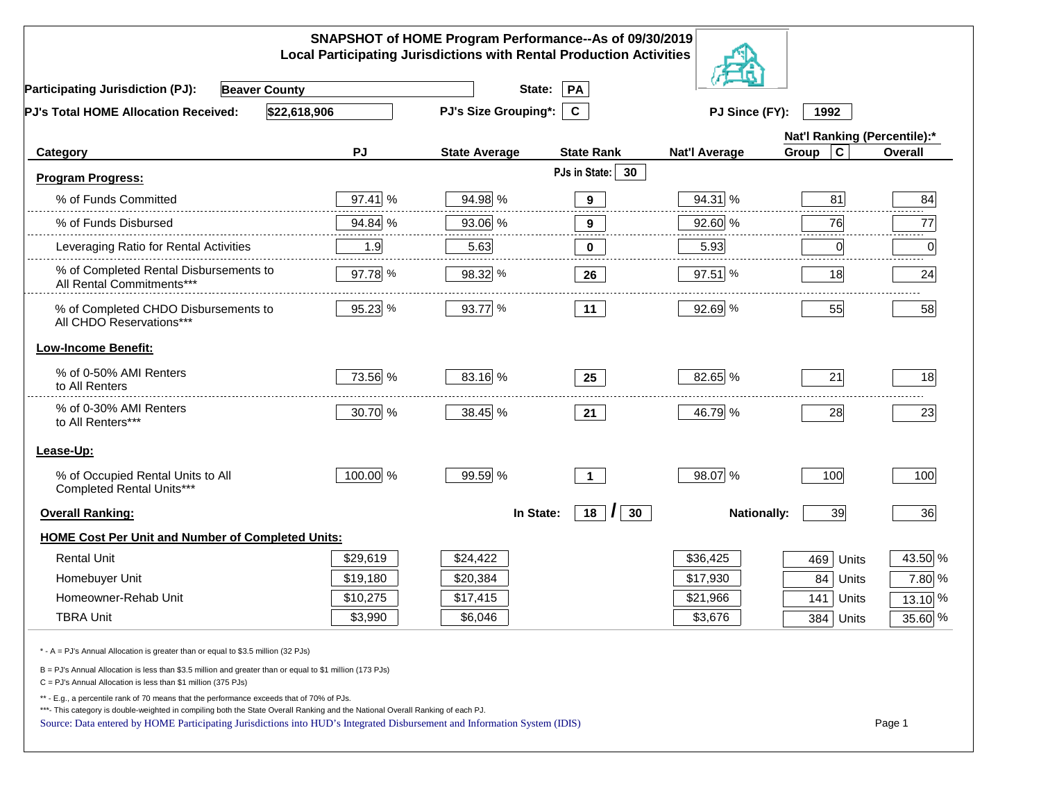| SNAPSHOT of HOME Program Performance--As of 09/30/2019<br><b>Local Participating Jurisdictions with Rental Production Activities</b>                                                                                                                                                                                                                     |          |                             |                                 |                      |                              |         |  |
|----------------------------------------------------------------------------------------------------------------------------------------------------------------------------------------------------------------------------------------------------------------------------------------------------------------------------------------------------------|----------|-----------------------------|---------------------------------|----------------------|------------------------------|---------|--|
| <b>Participating Jurisdiction (PJ):</b><br><b>Beaver County</b>                                                                                                                                                                                                                                                                                          |          | State:                      | PA                              |                      |                              |         |  |
| \$22,618,906<br>PJ's Total HOME Allocation Received:                                                                                                                                                                                                                                                                                                     |          | <b>PJ's Size Grouping*:</b> | $\mathbf{C}$                    | PJ Since (FY):       | 1992                         |         |  |
|                                                                                                                                                                                                                                                                                                                                                          |          |                             |                                 |                      | Nat'l Ranking (Percentile):* |         |  |
| Category                                                                                                                                                                                                                                                                                                                                                 | PJ       | <b>State Average</b>        | <b>State Rank</b>               | <b>Nat'l Average</b> | $\mathbf c$<br>Group         | Overall |  |
| <b>Program Progress:</b>                                                                                                                                                                                                                                                                                                                                 |          |                             | PJs in State:<br>30             |                      |                              |         |  |
| % of Funds Committed                                                                                                                                                                                                                                                                                                                                     | 97.41 %  | 94.98 %                     | $\mathbf{9}$                    | 94.31 %              | 81                           | 84      |  |
| % of Funds Disbursed                                                                                                                                                                                                                                                                                                                                     | 94.84 %  | 93.06 %                     | $\boldsymbol{9}$                | 92.60 %              | 76                           | 77      |  |
| Leveraging Ratio for Rental Activities                                                                                                                                                                                                                                                                                                                   | 1.9      | 5.63                        | $\bf{0}$                        | 5.93                 | $\overline{0}$               | 0       |  |
| % of Completed Rental Disbursements to<br>All Rental Commitments***                                                                                                                                                                                                                                                                                      | 97.78 %  | 98.32 %                     | 26                              | 97.51 %              | 18                           | 24      |  |
| % of Completed CHDO Disbursements to<br>All CHDO Reservations***                                                                                                                                                                                                                                                                                         | 95.23 %  | 93.77 %                     | 11                              | 92.69 %              | 55                           | 58      |  |
| <b>Low-Income Benefit:</b>                                                                                                                                                                                                                                                                                                                               |          |                             |                                 |                      |                              |         |  |
| % of 0-50% AMI Renters<br>to All Renters                                                                                                                                                                                                                                                                                                                 | 73.56 %  | 83.16 %                     | 25                              | 82.65 %              | 21                           | 18      |  |
| % of 0-30% AMI Renters<br>to All Renters***                                                                                                                                                                                                                                                                                                              | 30.70 %  | 38.45 %                     | 21                              | 46.79 %              | 28                           | 23      |  |
| Lease-Up:                                                                                                                                                                                                                                                                                                                                                |          |                             |                                 |                      |                              |         |  |
| % of Occupied Rental Units to All<br>Completed Rental Units***                                                                                                                                                                                                                                                                                           | 100.00 % | 99.59 %                     | $\overline{1}$                  | 98.07 %              | 100                          | 100     |  |
| <b>Overall Ranking:</b>                                                                                                                                                                                                                                                                                                                                  |          | In State:                   | $18$ $\vert$<br>30 <sub>o</sub> | <b>Nationally:</b>   | 39                           | 36      |  |
| <b>HOME Cost Per Unit and Number of Completed Units:</b>                                                                                                                                                                                                                                                                                                 |          |                             |                                 |                      |                              |         |  |
| <b>Rental Unit</b>                                                                                                                                                                                                                                                                                                                                       | \$29,619 | \$24,422                    |                                 | \$36,425             | 469<br>Units                 | 43.50 % |  |
| Homebuyer Unit                                                                                                                                                                                                                                                                                                                                           | \$19,180 | \$20,384                    |                                 | \$17,930             | 84<br>Units                  | 7.80 %  |  |
| Homeowner-Rehab Unit                                                                                                                                                                                                                                                                                                                                     | \$10,275 | \$17,415                    |                                 | \$21,966             | 141 Units                    | 13.10 % |  |
| <b>TBRA Unit</b>                                                                                                                                                                                                                                                                                                                                         | \$3,990  | \$6,046                     |                                 | \$3,676              | 384 Units                    | 35.60 % |  |
| * - A = PJ's Annual Allocation is greater than or equal to \$3.5 million (32 PJs)                                                                                                                                                                                                                                                                        |          |                             |                                 |                      |                              |         |  |
| B = PJ's Annual Allocation is less than \$3.5 million and greater than or equal to \$1 million (173 PJs)<br>$C = PJ's$ Annual Allocation is less than \$1 million (375 PJs)                                                                                                                                                                              |          |                             |                                 |                      |                              |         |  |
| ** - E.g., a percentile rank of 70 means that the performance exceeds that of 70% of PJs.<br>***- This category is double-weighted in compiling both the State Overall Ranking and the National Overall Ranking of each PJ.<br>Source: Data entered by HOME Participating Jurisdictions into HUD's Integrated Disbursement and Information System (IDIS) |          |                             |                                 |                      |                              | Page 1  |  |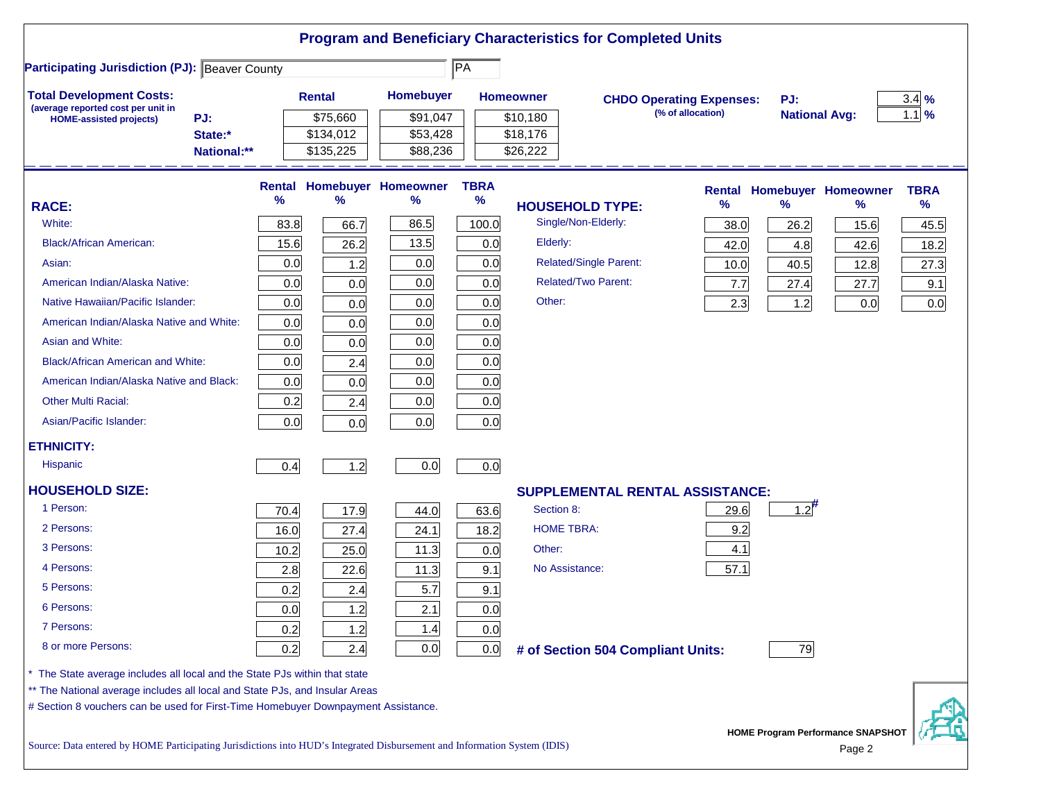|                                                                                                                                                                                                                                              |                                        |                                    |                                         |                              | <b>Program and Beneficiary Characteristics for Completed Units</b> |                                                      |                            |                                            |                                             |                          |
|----------------------------------------------------------------------------------------------------------------------------------------------------------------------------------------------------------------------------------------------|----------------------------------------|------------------------------------|-----------------------------------------|------------------------------|--------------------------------------------------------------------|------------------------------------------------------|----------------------------|--------------------------------------------|---------------------------------------------|--------------------------|
| <b>Participating Jurisdiction (PJ): Beaver County</b>                                                                                                                                                                                        |                                        |                                    |                                         | $\overline{P}{A}$            |                                                                    |                                                      |                            |                                            |                                             |                          |
| <b>Total Development Costs:</b><br>(average reported cost per unit in                                                                                                                                                                        |                                        | <b>Rental</b>                      | Homebuyer                               |                              | <b>Homeowner</b>                                                   | <b>CHDO Operating Expenses:</b><br>(% of allocation) |                            | PJ:<br><b>National Avg:</b>                |                                             | $3.4\%$<br>$1.1\%$       |
| PJ:<br><b>HOME-assisted projects)</b><br>State:*<br>National:**                                                                                                                                                                              |                                        | \$75,660<br>\$134,012<br>\$135,225 | \$91,047<br>\$53,428<br>\$88,236        |                              | \$10,180<br>\$18,176<br>\$26,222                                   |                                                      |                            |                                            |                                             |                          |
| <b>RACE:</b><br>White:                                                                                                                                                                                                                       | <b>Rental</b><br>$\frac{9}{6}$<br>83.8 | %<br>66.7                          | <b>Homebuyer Homeowner</b><br>%<br>86.5 | <b>TBRA</b><br>$\%$<br>100.0 | <b>HOUSEHOLD TYPE:</b><br>Single/Non-Elderly:                      |                                                      | <b>Rental</b><br>℅<br>38.0 | <b>Homebuyer Homeowner</b><br>$\%$<br>26.2 | ℅<br>15.6                                   | <b>TBRA</b><br>%<br>45.5 |
| <b>Black/African American:</b>                                                                                                                                                                                                               | 15.6                                   | 26.2                               | 13.5                                    | 0.0                          | Elderly:                                                           |                                                      | 42.0                       | 4.8                                        | 42.6                                        | 18.2                     |
| Asian:<br>American Indian/Alaska Native:                                                                                                                                                                                                     | 0.0<br>0.0                             | 1.2<br>0.0                         | 0.0<br>0.0                              | 0.0<br>0.0                   | <b>Related/Single Parent:</b><br><b>Related/Two Parent:</b>        |                                                      | 10.0<br>7.7                | 40.5<br>27.4                               | 12.8<br>27.7                                | 27.3<br>9.1              |
| Native Hawaiian/Pacific Islander:<br>American Indian/Alaska Native and White:                                                                                                                                                                | 0.0<br>0.0                             | 0.0<br>0.0                         | 0.0<br>0.0                              | 0.0<br>0.0                   | Other:                                                             |                                                      | 2.3                        | 1.2                                        | 0.0                                         | 0.0                      |
| Asian and White:<br><b>Black/African American and White:</b>                                                                                                                                                                                 | 0.0<br>0.0                             | 0.0<br>2.4                         | 0.0<br>0.0                              | 0.0<br>0.0                   |                                                                    |                                                      |                            |                                            |                                             |                          |
| American Indian/Alaska Native and Black:<br><b>Other Multi Racial:</b>                                                                                                                                                                       | 0.0<br>0.2                             | 0.0<br>2.4                         | 0.0<br>0.0                              | 0.0<br>0.0                   |                                                                    |                                                      |                            |                                            |                                             |                          |
| Asian/Pacific Islander:                                                                                                                                                                                                                      | 0.0                                    | 0.0                                | 0.0                                     | 0.0                          |                                                                    |                                                      |                            |                                            |                                             |                          |
| <b>ETHNICITY:</b><br><b>Hispanic</b>                                                                                                                                                                                                         | 0.4                                    | 1.2                                | 0.0                                     | 0.0                          |                                                                    |                                                      |                            |                                            |                                             |                          |
| <b>HOUSEHOLD SIZE:</b>                                                                                                                                                                                                                       |                                        |                                    |                                         |                              | <b>SUPPLEMENTAL RENTAL ASSISTANCE:</b>                             |                                                      |                            |                                            |                                             |                          |
| 1 Person:<br>2 Persons:                                                                                                                                                                                                                      | 70.4<br>16.0                           | 17.9<br>27.4                       | 44.0<br>24.1                            | 63.6<br>18.2                 | Section 8:<br><b>HOME TBRA:</b>                                    |                                                      | 29.6<br>9.2                | $1.2^{#}$                                  |                                             |                          |
| 3 Persons:                                                                                                                                                                                                                                   | 10.2                                   | 25.0                               | 11.3                                    | 0.0                          | Other:                                                             |                                                      | 4.1                        |                                            |                                             |                          |
| 4 Persons:<br>5 Persons:                                                                                                                                                                                                                     | 2.8<br>0.2                             | 22.6<br>2.4                        | 11.3<br>5.7                             | 9.1<br>9.1                   | No Assistance:                                                     |                                                      | 57.1                       |                                            |                                             |                          |
| 6 Persons:                                                                                                                                                                                                                                   | 0.0                                    | 1.2                                | 2.1                                     | 0.0                          |                                                                    |                                                      |                            |                                            |                                             |                          |
| 7 Persons:<br>8 or more Persons:                                                                                                                                                                                                             | 0.2<br>0.2                             | 1.2<br>2.4                         | 1.4<br>0.0                              | 0.0<br>0.0                   | # of Section 504 Compliant Units:                                  |                                                      |                            | 79                                         |                                             |                          |
| The State average includes all local and the State PJs within that state<br>** The National average includes all local and State PJs, and Insular Areas<br># Section 8 vouchers can be used for First-Time Homebuyer Downpayment Assistance. |                                        |                                    |                                         |                              |                                                                    |                                                      |                            |                                            |                                             |                          |
| Source: Data entered by HOME Participating Jurisdictions into HUD's Integrated Disbursement and Information System (IDIS)                                                                                                                    |                                        |                                    |                                         |                              |                                                                    |                                                      |                            |                                            | HOME Program Performance SNAPSHOT<br>Page 2 |                          |